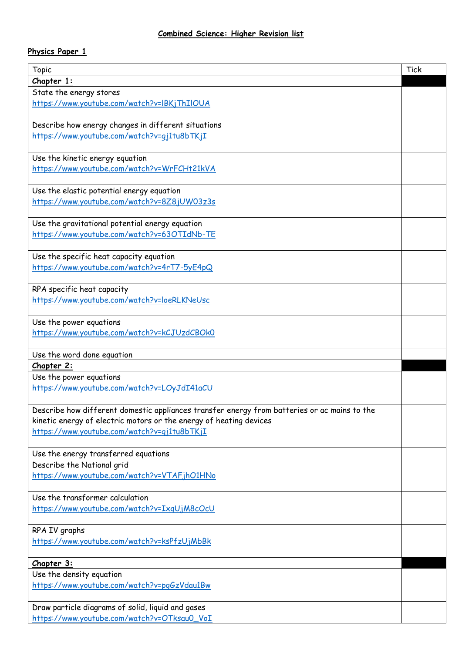## **Physics Paper 1**

| Chapter 1:<br>State the energy stores<br>https://www.youtube.com/watch?v=IBKjThIIOUA<br>Describe how energy changes in different situations<br>https://www.youtube.com/watch?v=qj1tu8bTKjI<br>Use the kinetic energy equation<br>https://www.youtube.com/watch?v=WrFCHt21kVA<br>Use the elastic potential energy equation<br>https://www.youtube.com/watch?v=8Z8jUW03z3s<br>Use the gravitational potential energy equation<br>https://www.youtube.com/watch?v=63OTIdNb-TE<br>Use the specific heat capacity equation<br>https://www.youtube.com/watch?v=4rT7-5yE4pQ<br>RPA specific heat capacity<br>https://www.youtube.com/watch?v=loeRLKNeUsc<br>Use the power equations<br>https://www.youtube.com/watch?v=kCJUzdCBOk0<br>Use the word done equation<br>Chapter 2:<br>Use the power equations<br>https://www.youtube.com/watch?v=LOyJdI41aCU<br>Describe how different domestic appliances transfer energy from batteries or ac mains to the<br>kinetic energy of electric motors or the energy of heating devices<br>https://www.youtube.com/watch?v=qj1tu8bTKjI<br>Use the energy transferred equations<br>Describe the National grid<br>https://www.youtube.com/watch?v=VTAFjhO1HNo<br>Use the transformer calculation<br>https://www.youtube.com/watch?v=IxqUjM8cOcU<br>RPA IV graphs<br>https://www.youtube.com/watch?v=ksPfzUjMbBk<br>Chapter 3:<br>Use the density equation<br>https://www.youtube.com/watch?v=pgGzVdau1Bw<br>Draw particle diagrams of solid, liquid and gases<br>https://www.youtube.com/watch?v=OTksau0_VoI | <b>Topic</b> | <b>Tick</b> |
|--------------------------------------------------------------------------------------------------------------------------------------------------------------------------------------------------------------------------------------------------------------------------------------------------------------------------------------------------------------------------------------------------------------------------------------------------------------------------------------------------------------------------------------------------------------------------------------------------------------------------------------------------------------------------------------------------------------------------------------------------------------------------------------------------------------------------------------------------------------------------------------------------------------------------------------------------------------------------------------------------------------------------------------------------------------------------------------------------------------------------------------------------------------------------------------------------------------------------------------------------------------------------------------------------------------------------------------------------------------------------------------------------------------------------------------------------------------------------------------------------------------------------------------------|--------------|-------------|
|                                                                                                                                                                                                                                                                                                                                                                                                                                                                                                                                                                                                                                                                                                                                                                                                                                                                                                                                                                                                                                                                                                                                                                                                                                                                                                                                                                                                                                                                                                                                            |              |             |
|                                                                                                                                                                                                                                                                                                                                                                                                                                                                                                                                                                                                                                                                                                                                                                                                                                                                                                                                                                                                                                                                                                                                                                                                                                                                                                                                                                                                                                                                                                                                            |              |             |
|                                                                                                                                                                                                                                                                                                                                                                                                                                                                                                                                                                                                                                                                                                                                                                                                                                                                                                                                                                                                                                                                                                                                                                                                                                                                                                                                                                                                                                                                                                                                            |              |             |
|                                                                                                                                                                                                                                                                                                                                                                                                                                                                                                                                                                                                                                                                                                                                                                                                                                                                                                                                                                                                                                                                                                                                                                                                                                                                                                                                                                                                                                                                                                                                            |              |             |
|                                                                                                                                                                                                                                                                                                                                                                                                                                                                                                                                                                                                                                                                                                                                                                                                                                                                                                                                                                                                                                                                                                                                                                                                                                                                                                                                                                                                                                                                                                                                            |              |             |
|                                                                                                                                                                                                                                                                                                                                                                                                                                                                                                                                                                                                                                                                                                                                                                                                                                                                                                                                                                                                                                                                                                                                                                                                                                                                                                                                                                                                                                                                                                                                            |              |             |
|                                                                                                                                                                                                                                                                                                                                                                                                                                                                                                                                                                                                                                                                                                                                                                                                                                                                                                                                                                                                                                                                                                                                                                                                                                                                                                                                                                                                                                                                                                                                            |              |             |
|                                                                                                                                                                                                                                                                                                                                                                                                                                                                                                                                                                                                                                                                                                                                                                                                                                                                                                                                                                                                                                                                                                                                                                                                                                                                                                                                                                                                                                                                                                                                            |              |             |
|                                                                                                                                                                                                                                                                                                                                                                                                                                                                                                                                                                                                                                                                                                                                                                                                                                                                                                                                                                                                                                                                                                                                                                                                                                                                                                                                                                                                                                                                                                                                            |              |             |
|                                                                                                                                                                                                                                                                                                                                                                                                                                                                                                                                                                                                                                                                                                                                                                                                                                                                                                                                                                                                                                                                                                                                                                                                                                                                                                                                                                                                                                                                                                                                            |              |             |
|                                                                                                                                                                                                                                                                                                                                                                                                                                                                                                                                                                                                                                                                                                                                                                                                                                                                                                                                                                                                                                                                                                                                                                                                                                                                                                                                                                                                                                                                                                                                            |              |             |
|                                                                                                                                                                                                                                                                                                                                                                                                                                                                                                                                                                                                                                                                                                                                                                                                                                                                                                                                                                                                                                                                                                                                                                                                                                                                                                                                                                                                                                                                                                                                            |              |             |
|                                                                                                                                                                                                                                                                                                                                                                                                                                                                                                                                                                                                                                                                                                                                                                                                                                                                                                                                                                                                                                                                                                                                                                                                                                                                                                                                                                                                                                                                                                                                            |              |             |
|                                                                                                                                                                                                                                                                                                                                                                                                                                                                                                                                                                                                                                                                                                                                                                                                                                                                                                                                                                                                                                                                                                                                                                                                                                                                                                                                                                                                                                                                                                                                            |              |             |
|                                                                                                                                                                                                                                                                                                                                                                                                                                                                                                                                                                                                                                                                                                                                                                                                                                                                                                                                                                                                                                                                                                                                                                                                                                                                                                                                                                                                                                                                                                                                            |              |             |
|                                                                                                                                                                                                                                                                                                                                                                                                                                                                                                                                                                                                                                                                                                                                                                                                                                                                                                                                                                                                                                                                                                                                                                                                                                                                                                                                                                                                                                                                                                                                            |              |             |
|                                                                                                                                                                                                                                                                                                                                                                                                                                                                                                                                                                                                                                                                                                                                                                                                                                                                                                                                                                                                                                                                                                                                                                                                                                                                                                                                                                                                                                                                                                                                            |              |             |
|                                                                                                                                                                                                                                                                                                                                                                                                                                                                                                                                                                                                                                                                                                                                                                                                                                                                                                                                                                                                                                                                                                                                                                                                                                                                                                                                                                                                                                                                                                                                            |              |             |
|                                                                                                                                                                                                                                                                                                                                                                                                                                                                                                                                                                                                                                                                                                                                                                                                                                                                                                                                                                                                                                                                                                                                                                                                                                                                                                                                                                                                                                                                                                                                            |              |             |
|                                                                                                                                                                                                                                                                                                                                                                                                                                                                                                                                                                                                                                                                                                                                                                                                                                                                                                                                                                                                                                                                                                                                                                                                                                                                                                                                                                                                                                                                                                                                            |              |             |
|                                                                                                                                                                                                                                                                                                                                                                                                                                                                                                                                                                                                                                                                                                                                                                                                                                                                                                                                                                                                                                                                                                                                                                                                                                                                                                                                                                                                                                                                                                                                            |              |             |
|                                                                                                                                                                                                                                                                                                                                                                                                                                                                                                                                                                                                                                                                                                                                                                                                                                                                                                                                                                                                                                                                                                                                                                                                                                                                                                                                                                                                                                                                                                                                            |              |             |
|                                                                                                                                                                                                                                                                                                                                                                                                                                                                                                                                                                                                                                                                                                                                                                                                                                                                                                                                                                                                                                                                                                                                                                                                                                                                                                                                                                                                                                                                                                                                            |              |             |
|                                                                                                                                                                                                                                                                                                                                                                                                                                                                                                                                                                                                                                                                                                                                                                                                                                                                                                                                                                                                                                                                                                                                                                                                                                                                                                                                                                                                                                                                                                                                            |              |             |
|                                                                                                                                                                                                                                                                                                                                                                                                                                                                                                                                                                                                                                                                                                                                                                                                                                                                                                                                                                                                                                                                                                                                                                                                                                                                                                                                                                                                                                                                                                                                            |              |             |
|                                                                                                                                                                                                                                                                                                                                                                                                                                                                                                                                                                                                                                                                                                                                                                                                                                                                                                                                                                                                                                                                                                                                                                                                                                                                                                                                                                                                                                                                                                                                            |              |             |
|                                                                                                                                                                                                                                                                                                                                                                                                                                                                                                                                                                                                                                                                                                                                                                                                                                                                                                                                                                                                                                                                                                                                                                                                                                                                                                                                                                                                                                                                                                                                            |              |             |
|                                                                                                                                                                                                                                                                                                                                                                                                                                                                                                                                                                                                                                                                                                                                                                                                                                                                                                                                                                                                                                                                                                                                                                                                                                                                                                                                                                                                                                                                                                                                            |              |             |
|                                                                                                                                                                                                                                                                                                                                                                                                                                                                                                                                                                                                                                                                                                                                                                                                                                                                                                                                                                                                                                                                                                                                                                                                                                                                                                                                                                                                                                                                                                                                            |              |             |
|                                                                                                                                                                                                                                                                                                                                                                                                                                                                                                                                                                                                                                                                                                                                                                                                                                                                                                                                                                                                                                                                                                                                                                                                                                                                                                                                                                                                                                                                                                                                            |              |             |
|                                                                                                                                                                                                                                                                                                                                                                                                                                                                                                                                                                                                                                                                                                                                                                                                                                                                                                                                                                                                                                                                                                                                                                                                                                                                                                                                                                                                                                                                                                                                            |              |             |
|                                                                                                                                                                                                                                                                                                                                                                                                                                                                                                                                                                                                                                                                                                                                                                                                                                                                                                                                                                                                                                                                                                                                                                                                                                                                                                                                                                                                                                                                                                                                            |              |             |
|                                                                                                                                                                                                                                                                                                                                                                                                                                                                                                                                                                                                                                                                                                                                                                                                                                                                                                                                                                                                                                                                                                                                                                                                                                                                                                                                                                                                                                                                                                                                            |              |             |
|                                                                                                                                                                                                                                                                                                                                                                                                                                                                                                                                                                                                                                                                                                                                                                                                                                                                                                                                                                                                                                                                                                                                                                                                                                                                                                                                                                                                                                                                                                                                            |              |             |
|                                                                                                                                                                                                                                                                                                                                                                                                                                                                                                                                                                                                                                                                                                                                                                                                                                                                                                                                                                                                                                                                                                                                                                                                                                                                                                                                                                                                                                                                                                                                            |              |             |
|                                                                                                                                                                                                                                                                                                                                                                                                                                                                                                                                                                                                                                                                                                                                                                                                                                                                                                                                                                                                                                                                                                                                                                                                                                                                                                                                                                                                                                                                                                                                            |              |             |
|                                                                                                                                                                                                                                                                                                                                                                                                                                                                                                                                                                                                                                                                                                                                                                                                                                                                                                                                                                                                                                                                                                                                                                                                                                                                                                                                                                                                                                                                                                                                            |              |             |
|                                                                                                                                                                                                                                                                                                                                                                                                                                                                                                                                                                                                                                                                                                                                                                                                                                                                                                                                                                                                                                                                                                                                                                                                                                                                                                                                                                                                                                                                                                                                            |              |             |
|                                                                                                                                                                                                                                                                                                                                                                                                                                                                                                                                                                                                                                                                                                                                                                                                                                                                                                                                                                                                                                                                                                                                                                                                                                                                                                                                                                                                                                                                                                                                            |              |             |
|                                                                                                                                                                                                                                                                                                                                                                                                                                                                                                                                                                                                                                                                                                                                                                                                                                                                                                                                                                                                                                                                                                                                                                                                                                                                                                                                                                                                                                                                                                                                            |              |             |
|                                                                                                                                                                                                                                                                                                                                                                                                                                                                                                                                                                                                                                                                                                                                                                                                                                                                                                                                                                                                                                                                                                                                                                                                                                                                                                                                                                                                                                                                                                                                            |              |             |
|                                                                                                                                                                                                                                                                                                                                                                                                                                                                                                                                                                                                                                                                                                                                                                                                                                                                                                                                                                                                                                                                                                                                                                                                                                                                                                                                                                                                                                                                                                                                            |              |             |
|                                                                                                                                                                                                                                                                                                                                                                                                                                                                                                                                                                                                                                                                                                                                                                                                                                                                                                                                                                                                                                                                                                                                                                                                                                                                                                                                                                                                                                                                                                                                            |              |             |
|                                                                                                                                                                                                                                                                                                                                                                                                                                                                                                                                                                                                                                                                                                                                                                                                                                                                                                                                                                                                                                                                                                                                                                                                                                                                                                                                                                                                                                                                                                                                            |              |             |
|                                                                                                                                                                                                                                                                                                                                                                                                                                                                                                                                                                                                                                                                                                                                                                                                                                                                                                                                                                                                                                                                                                                                                                                                                                                                                                                                                                                                                                                                                                                                            |              |             |
|                                                                                                                                                                                                                                                                                                                                                                                                                                                                                                                                                                                                                                                                                                                                                                                                                                                                                                                                                                                                                                                                                                                                                                                                                                                                                                                                                                                                                                                                                                                                            |              |             |
|                                                                                                                                                                                                                                                                                                                                                                                                                                                                                                                                                                                                                                                                                                                                                                                                                                                                                                                                                                                                                                                                                                                                                                                                                                                                                                                                                                                                                                                                                                                                            |              |             |
|                                                                                                                                                                                                                                                                                                                                                                                                                                                                                                                                                                                                                                                                                                                                                                                                                                                                                                                                                                                                                                                                                                                                                                                                                                                                                                                                                                                                                                                                                                                                            |              |             |
|                                                                                                                                                                                                                                                                                                                                                                                                                                                                                                                                                                                                                                                                                                                                                                                                                                                                                                                                                                                                                                                                                                                                                                                                                                                                                                                                                                                                                                                                                                                                            |              |             |
|                                                                                                                                                                                                                                                                                                                                                                                                                                                                                                                                                                                                                                                                                                                                                                                                                                                                                                                                                                                                                                                                                                                                                                                                                                                                                                                                                                                                                                                                                                                                            |              |             |
|                                                                                                                                                                                                                                                                                                                                                                                                                                                                                                                                                                                                                                                                                                                                                                                                                                                                                                                                                                                                                                                                                                                                                                                                                                                                                                                                                                                                                                                                                                                                            |              |             |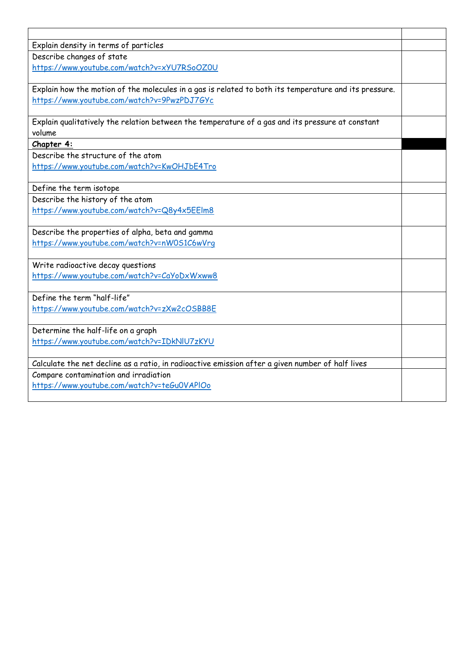| Explain density in terms of particles                                                                 |  |
|-------------------------------------------------------------------------------------------------------|--|
| Describe changes of state                                                                             |  |
| https://www.youtube.com/watch?v=xYU7RSoOZ0U                                                           |  |
|                                                                                                       |  |
| Explain how the motion of the molecules in a gas is related to both its temperature and its pressure. |  |
| https://www.youtube.com/watch?v=9PwzPDJ7GYc                                                           |  |
|                                                                                                       |  |
| Explain qualitatively the relation between the temperature of a gas and its pressure at constant      |  |
| volume                                                                                                |  |
| Chapter 4:                                                                                            |  |
| Describe the structure of the atom                                                                    |  |
| https://www.youtube.com/watch?v=KwOHJbE4Tro                                                           |  |
|                                                                                                       |  |
| Define the term isotope                                                                               |  |
| Describe the history of the atom                                                                      |  |
| https://www.youtube.com/watch?v=Q8y4x5EElm8                                                           |  |
|                                                                                                       |  |
| Describe the properties of alpha, beta and gamma                                                      |  |
| https://www.youtube.com/watch?v=nW0S1C6wVrg                                                           |  |
|                                                                                                       |  |
| Write radioactive decay questions                                                                     |  |
| https://www.youtube.com/watch?v=CaYoDxWxww8                                                           |  |
| Define the term "half-life"                                                                           |  |
| https://www.youtube.com/watch?v=zXw2cOSBB8E                                                           |  |
|                                                                                                       |  |
| Determine the half-life on a graph                                                                    |  |
| https://www.youtube.com/watch?v=IDkNlU7zKYU                                                           |  |
|                                                                                                       |  |
| Calculate the net decline as a ratio, in radioactive emission after a given number of half lives      |  |
| Compare contamination and irradiation                                                                 |  |
| https://www.youtube.com/watch?v=teGu0VAPIOo                                                           |  |
|                                                                                                       |  |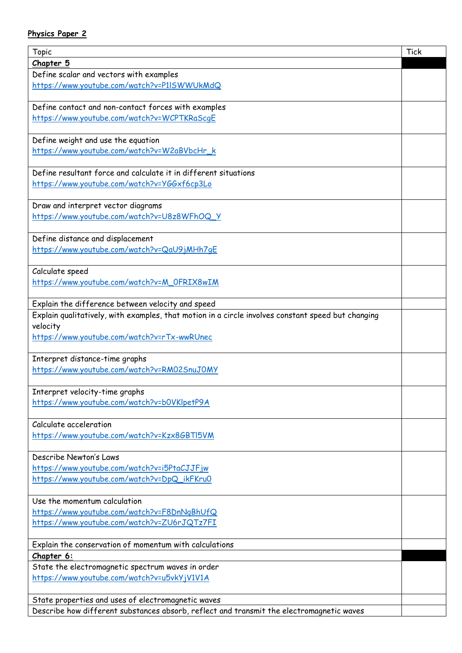## **Physics Paper 2**

| Topic                                                                                                                                                   | <b>Tick</b> |
|---------------------------------------------------------------------------------------------------------------------------------------------------------|-------------|
| Chapter 5                                                                                                                                               |             |
| Define scalar and vectors with examples                                                                                                                 |             |
| https://www.youtube.com/watch?v=P1ISWWUkMdQ                                                                                                             |             |
| Define contact and non-contact forces with examples                                                                                                     |             |
| https://www.youtube.com/watch?v=WCPTKRaScqE                                                                                                             |             |
|                                                                                                                                                         |             |
| Define weight and use the equation                                                                                                                      |             |
| https://www.youtube.com/watch?v=W2aBVbcHr_k                                                                                                             |             |
| Define resultant force and calculate it in different situations                                                                                         |             |
| https://www.youtube.com/watch?v=YGGxf6cp3Lo                                                                                                             |             |
|                                                                                                                                                         |             |
| Draw and interpret vector diagrams                                                                                                                      |             |
| https://www.youtube.com/watch?v=U8z8WFhOQ_Y                                                                                                             |             |
|                                                                                                                                                         |             |
| Define distance and displacement                                                                                                                        |             |
| https://www.youtube.com/watch?v=QaU9jMHh7qE                                                                                                             |             |
|                                                                                                                                                         |             |
| Calculate speed                                                                                                                                         |             |
| https://www.youtube.com/watch?v=M_OFRIX8wIM                                                                                                             |             |
|                                                                                                                                                         |             |
| Explain the difference between velocity and speed<br>Explain qualitatively, with examples, that motion in a circle involves constant speed but changing |             |
| velocity                                                                                                                                                |             |
| https://www.youtube.com/watch?v=rTx-wwRUnec                                                                                                             |             |
|                                                                                                                                                         |             |
| Interpret distance-time graphs                                                                                                                          |             |
| https://www.youtube.com/watch?v=RM02SnuJOMY                                                                                                             |             |
|                                                                                                                                                         |             |
| Interpret velocity-time graphs                                                                                                                          |             |
| https://www.youtube.com/watch?v=b0VKlpetP9A                                                                                                             |             |
|                                                                                                                                                         |             |
| Calculate acceleration                                                                                                                                  |             |
| https://www.youtube.com/watch?v=Kzx8GBTl5VM                                                                                                             |             |
|                                                                                                                                                         |             |
| Describe Newton's Laws                                                                                                                                  |             |
| https://www.youtube.com/watch?v=i5PtaCJJFjw                                                                                                             |             |
| https://www.youtube.com/watch?v=DpQ_ikFKru0                                                                                                             |             |
| Use the momentum calculation                                                                                                                            |             |
| https://www.youtube.com/watch?v=F8DnNqBhUfQ                                                                                                             |             |
| https://www.youtube.com/watch?v=ZU6rJQTz7FI                                                                                                             |             |
|                                                                                                                                                         |             |
| Explain the conservation of momentum with calculations                                                                                                  |             |
| Chapter 6:                                                                                                                                              |             |
| State the electromagnetic spectrum waves in order                                                                                                       |             |
| https://www.youtube.com/watch?v=u5vkYjV1V1A                                                                                                             |             |
|                                                                                                                                                         |             |
| State properties and uses of electromagnetic waves                                                                                                      |             |
| Describe how different substances absorb, reflect and transmit the electromagnetic waves                                                                |             |